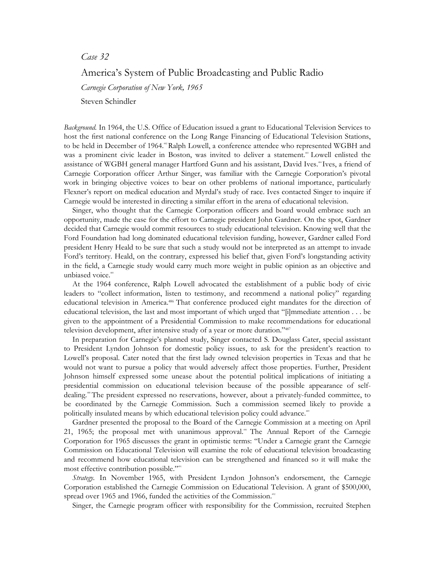*Case 32* 

## America's System of Public Broadcasting and Public Radio

*Carnegie Corporation of New York, 1965* 

Steven Schindler

*Background.* In 1964, the U.S. Office of Education issued a grant to Educational Television Services to host the first national conference on the Long Range Financing of Educational Television Stations, to be held in December of 1964. Ralph Lowell, a conference attendee who represented WGBH and was a prominent civic leader in Boston, was invited to deliver a statement.<sup>48</sup> Lowell enlisted the assistance of WGBH general manager Hartford Gunn and his assistant, David Ives.<sup>44</sup> Ives, a friend of Carnegie Corporation officer Arthur Singer, was familiar with the Carnegie Corporation's pivotal work in bringing objective voices to bear on other problems of national importance, particularly Flexner's report on medical education and Myrdal's study of race. Ives contacted Singer to inquire if Carnegie would be interested in directing a similar effort in the arena of educational television.

Singer, who thought that the Carnegie Corporation officers and board would embrace such an opportunity, made the case for the effort to Carnegie president John Gardner. On the spot, Gardner decided that Carnegie would commit resources to study educational television. Knowing well that the Ford Foundation had long dominated educational television funding, however, Gardner called Ford president Henry Heald to be sure that such a study would not be interpreted as an attempt to invade Ford's territory. Heald, on the contrary, expressed his belief that, given Ford's longstanding activity in the field, a Carnegie study would carry much more weight in public opinion as an objective and unbiased voice.<sup>485</sup>

At the 1964 conference, Ralph Lowell advocated the establishment of a public body of civic leaders to "collect information, listen to testimony, and recommend a national policy" regarding educational television in America.<sup>486</sup> That conference produced eight mandates for the direction of educational television, the last and most important of which urged that "[i]mmediate attention . . . be given to the appointment of a Presidential Commission to make recommendations for educational television development, after intensive study of a year or more duration."<sup>487</sup>

In preparation for Carnegie's planned study, Singer contacted S. Douglass Cater, special assistant to President Lyndon Johnson for domestic policy issues, to ask for the president's reaction to Lowell's proposal. Cater noted that the first lady owned television properties in Texas and that he would not want to pursue a policy that would adversely affect those properties. Further, President Johnson himself expressed some unease about the potential political implications of initiating a presidential commission on educational television because of the possible appearance of selfdealing.488 The president expressed no reservations, however, about a privately-funded committee, to be coordinated by the Carnegie Commission. Such a commission seemed likely to provide a politically insulated means by which educational television policy could advance.<sup>489</sup>

Gardner presented the proposal to the Board of the Carnegie Commission at a meeting on April 21, 1965; the proposal met with unanimous approval.<sup>40</sup> The Annual Report of the Carnegie Corporation for 1965 discusses the grant in optimistic terms: "Under a Carnegie grant the Carnegie Commission on Educational Television will examine the role of educational television broadcasting and recommend how educational television can be strengthened and financed so it will make the most effective contribution possible."491

*Strategy.* In November 1965, with President Lyndon Johnson's endorsement, the Carnegie Corporation established the Carnegie Commission on Educational Television. A grant of \$500,000, spread over 1965 and 1966, funded the activities of the Commission.<sup>49</sup>

Singer, the Carnegie program officer with responsibility for the Commission, recruited Stephen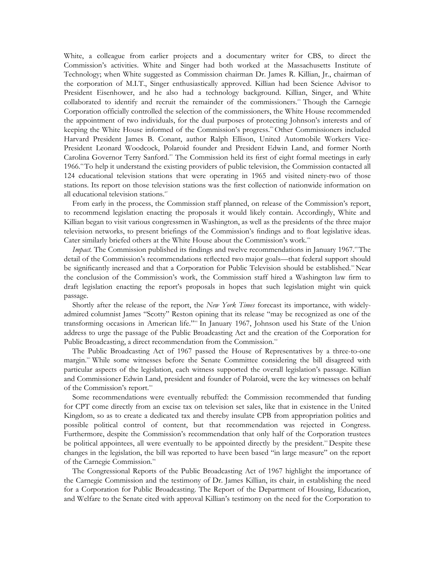White, a colleague from earlier projects and a documentary writer for CBS, to direct the Commission's activities. White and Singer had both worked at the Massachusetts Institute of Technology; when White suggested as Commission chairman Dr. James R. Killian, Jr., chairman of the corporation of M.I.T., Singer enthusiastically approved. Killian had been Science Advisor to President Eisenhower, and he also had a technology background. Killian, Singer, and White collaborated to identify and recruit the remainder of the commissioners.<sup>49</sup> Though the Carnegie Corporation officially controlled the selection of the commissioners, the White House recommended the appointment of two individuals, for the dual purposes of protecting Johnson's interests and of keeping the White House informed of the Commission's progress.<sup>44</sup> Other Commissioners included Harvard President James B. Conant, author Ralph Ellison, United Automobile Workers Vice-President Leonard Woodcock, Polaroid founder and President Edwin Land, and former North Carolina Governor Terry Sanford.<sup>49</sup> The Commission held its first of eight formal meetings in early 1966.496 To help it understand the existing providers of public television, the Commission contacted all 124 educational television stations that were operating in 1965 and visited ninety-two of those stations. Its report on those television stations was the first collection of nationwide information on all educational television stations.<sup>497</sup>

From early in the process, the Commission staff planned, on release of the Commission's report, to recommend legislation enacting the proposals it would likely contain. Accordingly, White and Killian began to visit various congressmen in Washington, as well as the presidents of the three major television networks, to present briefings of the Commission's findings and to float legislative ideas. Cater similarly briefed others at the White House about the Commission's work.<sup>488</sup>

*Impact*. The Commission published its findings and twelve recommendations in January 1967. "The detail of the Commission's recommendations reflected two major goals—that federal support should be significantly increased and that a Corporation for Public Television should be established.<sup>30</sup> Near the conclusion of the Commission's work, the Commission staff hired a Washington law firm to draft legislation enacting the report's proposals in hopes that such legislation might win quick passage.

Shortly after the release of the report, the *New York Times* forecast its importance, with widelyadmired columnist James "Scotty" Reston opining that its release "may be recognized as one of the transforming occasions in American life."<sup>501</sup> In January 1967, Johnson used his State of the Union address to urge the passage of the Public Broadcasting Act and the creation of the Corporation for Public Broadcasting, a direct recommendation from the Commission.<sup>502</sup>

The Public Broadcasting Act of 1967 passed the House of Representatives by a three-to-one margin.503 While some witnesses before the Senate Committee considering the bill disagreed with particular aspects of the legislation, each witness supported the overall legislation's passage. Killian and Commissioner Edwin Land, president and founder of Polaroid, were the key witnesses on behalf of the Commission's report.<sup>504</sup>

Some recommendations were eventually rebuffed: the Commission recommended that funding for CPT come directly from an excise tax on television set sales, like that in existence in the United Kingdom, so as to create a dedicated tax and thereby insulate CPB from appropriation politics and possible political control of content, but that recommendation was rejected in Congress. Furthermore, despite the Commission's recommendation that only half of the Corporation trustees be political appointees, all were eventually to be appointed directly by the president.<sup>\*\*</sup> Despite these changes in the legislation, the bill was reported to have been based "in large measure" on the report of the Carnegie Commission.<sup>506</sup>

The Congressional Reports of the Public Broadcasting Act of 1967 highlight the importance of the Carnegie Commission and the testimony of Dr. James Killian, its chair, in establishing the need for a Corporation for Public Broadcasting. The Report of the Department of Housing, Education, and Welfare to the Senate cited with approval Killian's testimony on the need for the Corporation to